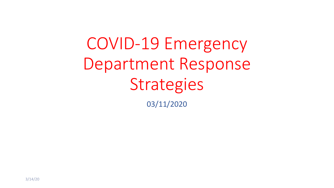COVID-19 Emergency Department Response **Strategies** 

03/11/2020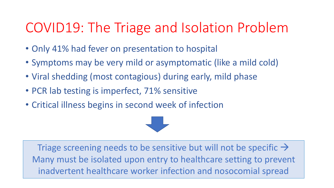# COVID19: The Triage and Isolation Problem

- Only 41% had fever on presentation to hospital
- Symptoms may be very mild or asymptomatic (like a mild cold)
- Viral shedding (most contagious) during early, mild phase
- PCR lab testing is imperfect, 71% sensitive
- Critical illness begins in second week of infection

Triage screening needs to be sensitive but will not be specific  $\rightarrow$ Many must be isolated upon entry to healthcare setting to prevent inadvertent healthcare worker infection and nosocomial spread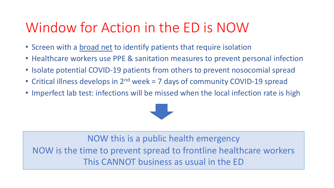# Window for Action in the ED is NOW

- Screen with a broad net to identify patients that require isolation
- Healthcare workers use PPE & sanitation measures to prevent personal infection
- Isolate potential COVID-19 patients from others to prevent nosocomial spread
- Critical illness develops in 2<sup>nd</sup> week = 7 days of community COVID-19 spread
- Imperfect lab test: infections will be missed when the local infection rate is high



NOW this is a public health emergency NOW is the time to prevent spread to frontline healthcare workers This CANNOT business as usual in the ED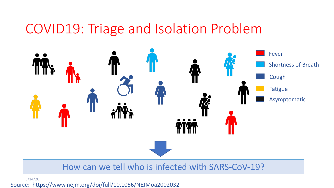### COVID19: Triage and Isolation Problem



#### How can we tell who is infected with SARS-CoV-19?

3/14/20

Source: https://www.nejm.org/doi/full/10.1056/NEJMoa2002032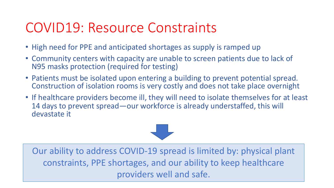# COVID19: Resource Constraints

- High need for PPE and anticipated shortages as supply is ramped up
- Community centers with capacity are unable to screen patients due to lack of N95 masks protection (required for testing)
- Patients must be isolated upon entering a building to prevent potential spread. Construction of isolation rooms is very costly and does not take place overnight
- If healthcare providers become ill, they will need to isolate themselves for at least 14 days to prevent spread—our workforce is already understaffed, this will devastate it



Our ability to address COVID-19 spread is limited by: physical plant constraints, PPE shortages, and our ability to keep healthcare providers well and safe.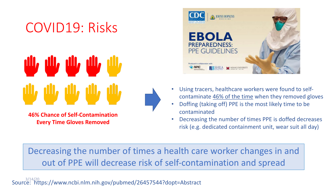# COVID19: Risks

# بلاء بلاء بلاء بلاء بلاء

**46% Chance of Self-Contamination Every Time Gloves Removed**



- Using tracers, healthcare workers were found to selfcontaminate 46% of the time when they removed gloves
- Doffing (taking off) PPE is the most likely time to be contaminated
- Decreasing the number of times PPE is doffed decreases risk (e.g. dedicated containment unit, wear suit all day)

Decreasing the number of times a health care worker changes in and out of PPE will decrease risk of self-contamination and spread

Source: https://www.ncbi.nlm.nih.gov/pubmed/26457544?dopt=Abstract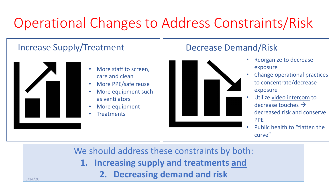# Operational Changes to Address Constraints/Risk

#### Increase Supply/Treatment



3/14/20

- More staff to screen, care and clean
- More PPE/safe reuse
- More equipment such as ventilators
- More equipment
- **Treatments**

#### Decrease Demand/Risk



- Reorganize to decrease exposure
- Change operational practices to concentrate/decrease exposure
- Utilize video intercom to decrease touches  $\rightarrow$ decreased risk and conserve PPE
- Public health to "flatten the curve"

We should address these constraints by both:

- **1. Increasing supply and treatments and**
	- **2. Decreasing demand and risk**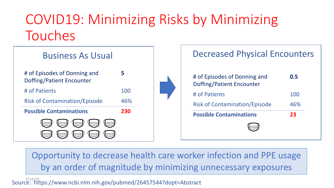# COVID19: Minimizing Risks by Minimizing Touches



| <b>Decreased Physical Encounters</b>                      |     |
|-----------------------------------------------------------|-----|
| # of Episodes of Donning and<br>Doffing/Patient Encounter | 0.5 |
| # of Patients                                             | 100 |
| <b>Risk of Contamination/Episode</b>                      | 46% |
| <b>Possible Contaminations</b>                            | 23  |
|                                                           |     |

Opportunity to decrease health care worker infection and PPE usage by an order of magnitude by minimizing unnecessary exposures

Source: https://www.ncbi.nlm.nih.gov/pubmed/26457544?dopt=Abstract 3/14/20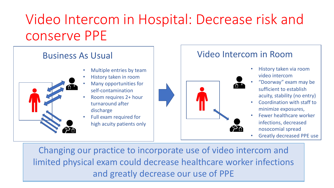# Video Intercom in Hospital: Decrease risk and conserve PPE

#### Business As Usual

- 
- Multiple entries by team
- History taken in room
- Many opportunities for self-contamination
- Room requires 2+ hour turnaround after discharge
- Full exam required for high acuity patients only

#### Video Intercom in Room



- History taken via room video intercom
- "Doorway" exam may be sufficient to establish acuity, stability (no entry)
- Coordination with staff to minimize exposures,
- Fewer healthcare worker infections, decreased nosocomial spread
- Greatly decreased PPE use

Changing our practice to incorporate use of video intercom and Changing our practice to incorporate use of video intercom and limited physical exam could decrease healthcare worker infections limited physical exam could decrease healthcare worker infections and greatly decrease our use of PPE and greatly decrease our use of PPE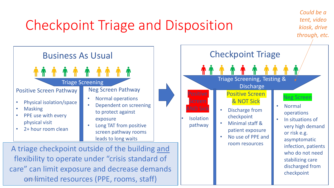# Checkpoint Triage and Disposition



A triage checkpoint outside of the building and flexibility to operate under "crisis standard of care" can limit exposure and decrease demands on / kimited resources (PPE, rooms, staff)



*Could be a tent, video kiosk, drive*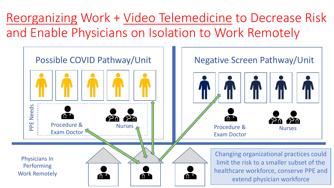Reorganizing Work + Video Telemedicine to Decrease Risk and Enable Physicians on Isolation to Work Remotely

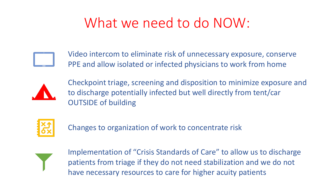# What we need to do NOW:



Video intercom to eliminate risk of unnecessary exposure, conserve PPE and allow isolated or infected physicians to work from home



Checkpoint triage, screening and disposition to minimize exposure and to discharge potentially infected but well directly from tent/car OUTSIDE of building



Changes to organization of work to concentrate risk



Implementation of "Crisis Standards of Care" to allow us to discharge patients from triage if they do not need stabilization and we do not have necessary resources to care for higher acuity patients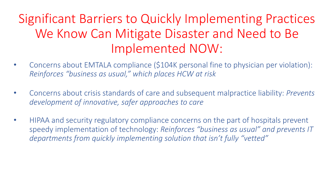## Significant Barriers to Quickly Implementing Practices We Know Can Mitigate Disaster and Need to Be Implemented NOW:

- Concerns about EMTALA compliance (\$104K personal fine to physician per violation): *Reinforces "business as usual," which places HCW at risk*
- Concerns about crisis standards of care and subsequent malpractice liability: *Prevents development of innovative, safer approaches to care*
- HIPAA and security regulatory compliance concerns on the part of hospitals prevent speedy implementation of technology: *Reinforces "business as usual" and prevents IT departments from quickly implementing solution that isn't fully "vetted"*